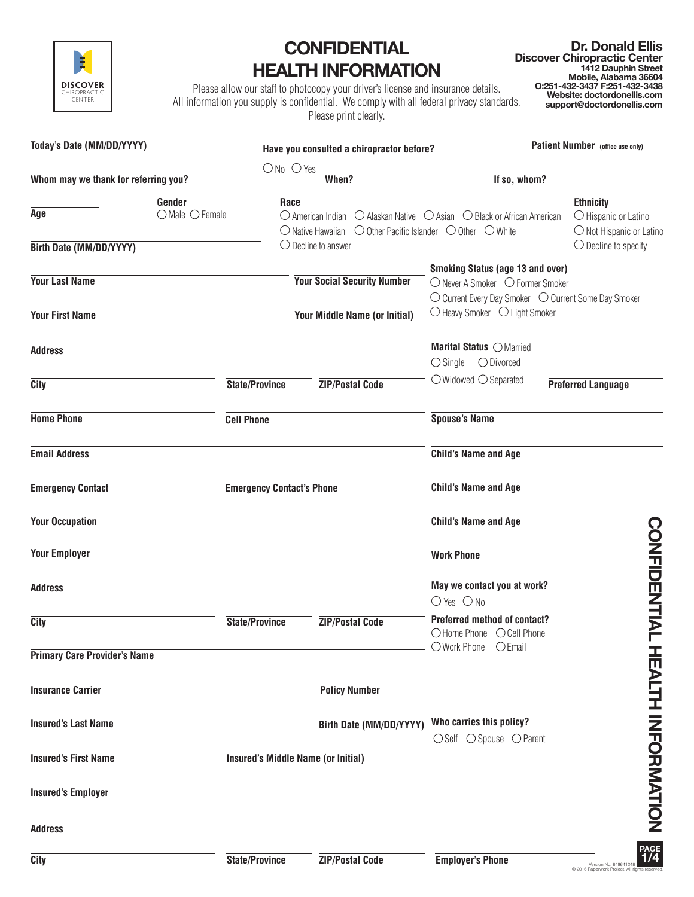

## **CONFIDENTIAL HEALTH INFORMATION**

**Dr. Donald Ellis Discover Chiropractic Center 1412 Dauphin Street Mobile, Alabama 36604 O:251-432-3437 F:251-432-3438 Website: doctordonellis.com support@doctordonellis.com**

Please allow our staff to photocopy your driver's license and insurance details. All information you supply is confidential. We comply with all federal privacy standards. Please print clearly.

| Today's Date (MM/DD/YYYY)            |                          |                                           | Have you consulted a chiropractor before? |                                                                                                                                                                                                              | Patient Number (office use only)                                              |
|--------------------------------------|--------------------------|-------------------------------------------|-------------------------------------------|--------------------------------------------------------------------------------------------------------------------------------------------------------------------------------------------------------------|-------------------------------------------------------------------------------|
|                                      |                          | $ONo$ $O$ Yes                             |                                           |                                                                                                                                                                                                              |                                                                               |
| Whom may we thank for referring you? |                          |                                           | When?                                     | If so, whom?                                                                                                                                                                                                 |                                                                               |
| Age                                  | Gender<br>OMale O Female | Race                                      |                                           | $\bigcirc$ American Indian $\bigcirc$ Alaskan Native $\bigcirc$ Asian $\bigcirc$ Black or African American<br>$\bigcirc$ Native Hawaiian $\bigcirc$ Other Pacific Islander $\bigcirc$ Other $\bigcirc$ White | <b>Ethnicity</b><br>$\bigcirc$ Hispanic or Latino<br>O Not Hispanic or Latino |
| Birth Date (MM/DD/YYYY)              |                          | $\bigcirc$ Decline to answer              |                                           |                                                                                                                                                                                                              | $\bigcirc$ Decline to specify                                                 |
| <b>Your Last Name</b>                |                          |                                           | <b>Your Social Security Number</b>        | <b>Smoking Status (age 13 and over)</b><br>○ Never A Smoker ○ Former Smoker<br>$\bigcirc$ Heavy Smoker $\bigcirc$ Light Smoker                                                                               | ○ Current Every Day Smoker ○ Current Some Day Smoker                          |
| <b>Your First Name</b>               |                          |                                           | Your Middle Name (or Initial)             |                                                                                                                                                                                                              |                                                                               |
| <b>Address</b>                       |                          |                                           |                                           | Marital Status O Married<br>$\bigcirc$ Single $\bigcirc$ Divorced                                                                                                                                            |                                                                               |
| <b>City</b>                          |                          | <b>State/Province</b>                     | <b>ZIP/Postal Code</b>                    | $\bigcirc$ Widowed $\bigcirc$ Separated                                                                                                                                                                      | <b>Preferred Language</b>                                                     |
| <b>Home Phone</b>                    | <b>Cell Phone</b>        |                                           |                                           | <b>Spouse's Name</b>                                                                                                                                                                                         |                                                                               |
| <b>Email Address</b>                 |                          |                                           |                                           | <b>Child's Name and Age</b>                                                                                                                                                                                  |                                                                               |
| <b>Emergency Contact</b>             |                          | <b>Emergency Contact's Phone</b>          |                                           | <b>Child's Name and Age</b>                                                                                                                                                                                  |                                                                               |
| <b>Your Occupation</b>               |                          |                                           |                                           | <b>Child's Name and Age</b>                                                                                                                                                                                  |                                                                               |
| <b>Your Employer</b>                 |                          |                                           |                                           | <b>Work Phone</b>                                                                                                                                                                                            |                                                                               |
| <b>Address</b>                       |                          |                                           |                                           | May we contact you at work?<br>$O$ Yes $O$ No                                                                                                                                                                |                                                                               |
| City                                 |                          | <b>State/Province</b>                     | <b>ZIP/Postal Code</b>                    | <b>Preferred method of contact?</b><br>○Home Phone ○ Cell Phone                                                                                                                                              | <b>CONFIDENTIAL</b>                                                           |
| <b>Primary Care Provider's Name</b>  |                          |                                           |                                           | O Work Phone<br>$O$ Email                                                                                                                                                                                    |                                                                               |
| <b>Insurance Carrier</b>             |                          |                                           | <b>Policy Number</b>                      |                                                                                                                                                                                                              |                                                                               |
| <b>Insured's Last Name</b>           |                          |                                           | Birth Date (MM/DD/YYYY)                   | Who carries this policy?<br>○Self ○ Spouse ○ Parent                                                                                                                                                          | HEALIH INFORMATION                                                            |
| <b>Insured's First Name</b>          |                          | <b>Insured's Middle Name (or Initial)</b> |                                           |                                                                                                                                                                                                              |                                                                               |
| <b>Insured's Employer</b>            |                          |                                           |                                           |                                                                                                                                                                                                              |                                                                               |
| <b>Address</b>                       |                          |                                           |                                           |                                                                                                                                                                                                              |                                                                               |
| City                                 |                          | <b>State/Province</b>                     | <b>ZIP/Postal Code</b>                    | <b>Employer's Phone</b>                                                                                                                                                                                      | PAGE<br>1/4<br>Version No. 849641248<br>@ 2016 Panenwork Project, All         |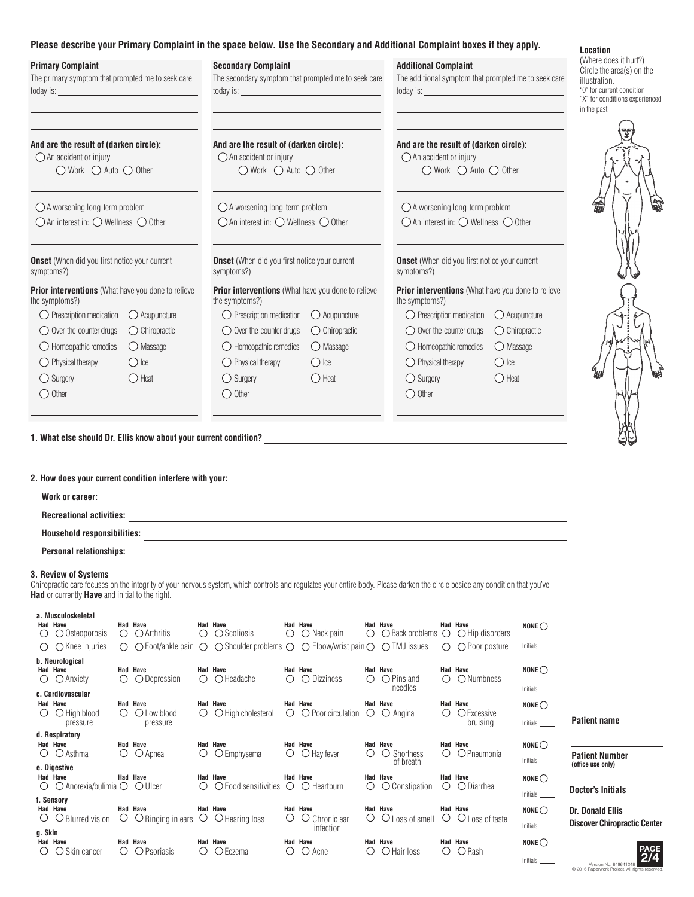## **Please describe your Primary Complaint in the space below. Use the Secondary and Additional Complaint boxes if they apply.**

|                                                                                                                                                                                                                                                                                                                                                                        | Please describe your Primary Complaint in the space below. Use the Secondary and Additional Complaint boxes if they apply.                                                                                                                                                                                                         |                                                                                                                                                                                                                                                                                                                           | Location                                                                                                                                          |
|------------------------------------------------------------------------------------------------------------------------------------------------------------------------------------------------------------------------------------------------------------------------------------------------------------------------------------------------------------------------|------------------------------------------------------------------------------------------------------------------------------------------------------------------------------------------------------------------------------------------------------------------------------------------------------------------------------------|---------------------------------------------------------------------------------------------------------------------------------------------------------------------------------------------------------------------------------------------------------------------------------------------------------------------------|---------------------------------------------------------------------------------------------------------------------------------------------------|
| <b>Primary Complaint</b><br>The primary symptom that prompted me to seek care                                                                                                                                                                                                                                                                                          | <b>Secondary Complaint</b><br>The secondary symptom that prompted me to seek care                                                                                                                                                                                                                                                  | <b>Additional Complaint</b><br>The additional symptom that prompted me to seek care                                                                                                                                                                                                                                       | (Where does it hurt?)<br>Circle the area(s) on the<br>illustration.<br>"0" for current condition<br>"X" for conditions experienced<br>in the past |
| And are the result of (darken circle):<br>$\bigcirc$ An accident or injury<br>$\bigcirc$ Work $\bigcirc$ Auto $\bigcirc$ Other                                                                                                                                                                                                                                         | And are the result of (darken circle):<br>$\bigcirc$ An accident or injury<br>$\bigcirc$ Work $\bigcirc$ Auto $\bigcirc$ Other                                                                                                                                                                                                     | And are the result of (darken circle):<br>$\bigcirc$ An accident or injury<br>$\bigcirc$ Work $\bigcirc$ Auto $\bigcirc$ Other                                                                                                                                                                                            |                                                                                                                                                   |
| $\bigcirc$ A worsening long-term problem<br>$\bigcirc$ An interest in: $\bigcirc$ Wellness $\bigcirc$ Other                                                                                                                                                                                                                                                            | $\bigcirc$ A worsening long-term problem<br>$\bigcirc$ An interest in: $\bigcirc$ Wellness $\bigcirc$ Other                                                                                                                                                                                                                        | $\bigcirc$ A worsening long-term problem<br>○ An interest in: ○ Wellness ○ Other                                                                                                                                                                                                                                          |                                                                                                                                                   |
| <b>Onset</b> (When did you first notice your current<br>symptoms?) $\qquad \qquad$                                                                                                                                                                                                                                                                                     | <b>Onset</b> (When did you first notice your current                                                                                                                                                                                                                                                                               | <b>Onset</b> (When did you first notice your current<br>symptoms?)                                                                                                                                                                                                                                                        |                                                                                                                                                   |
| Prior interventions (What have you done to relieve<br>the symptoms?)<br>$\bigcirc$ Prescription medication $\bigcirc$ Acupuncture<br>◯ Chiropractic<br>$\bigcirc$ Over-the-counter drugs<br>$\bigcirc$ Homeopathic remedies<br>O Massage<br>$\bigcirc$ Physical therapy<br>$\bigcirc$ Ice<br>$\bigcirc$ Heat<br>$\bigcirc$ Surgery<br>$\bigcirc$ Other $\qquad \qquad$ | Prior interventions (What have you done to relieve<br>the symptoms?)<br>$\bigcirc$ Prescription medication $\bigcirc$ Acupuncture<br>◯ Chiropractic<br>$\bigcirc$ Over-the-counter drugs<br>$\bigcirc$ Homeopathic remedies<br>◯ Massage<br>$\bigcirc$ Physical therapy<br>$\bigcirc$ Ice<br>$\bigcirc$ Heat<br>$\bigcirc$ Surgery | Prior interventions (What have you done to relieve<br>the symptoms?)<br>$\bigcirc$ Prescription medication $\bigcirc$ Acupuncture<br>◯ Over-the-counter drugs<br>◯ Chiropractic<br>$\bigcirc$ Homeopathic remedies<br>O Massage<br>$\bigcirc$ Physical therapy<br>$\bigcirc$ Ice<br>$\bigcirc$ Heat<br>$\bigcirc$ Surgery |                                                                                                                                                   |
| 2. How does your current condition interfere with your:<br>Work or career:                                                                                                                                                                                                                                                                                             | <u> 1980 - Johann Stoff, amerikansk politiker (d. 1980)</u>                                                                                                                                                                                                                                                                        |                                                                                                                                                                                                                                                                                                                           |                                                                                                                                                   |
| 3. Review of Systems<br>Had or currently Have and initial to the right.                                                                                                                                                                                                                                                                                                | Chiropractic care focuses on the integrity of your nervous system, which controls and regulates your entire body. Please darken the circle beside any condition that you've                                                                                                                                                        |                                                                                                                                                                                                                                                                                                                           |                                                                                                                                                   |
| a. Musculoskeletal                                                                                                                                                                                                                                                                                                                                                     |                                                                                                                                                                                                                                                                                                                                    |                                                                                                                                                                                                                                                                                                                           |                                                                                                                                                   |

| Had Have                                    | $\bigcirc$ Osteoporosis                                | $\left( \right)$ | <b>Had Have</b><br>$\bigcirc$ Arthritis                          | $\circ$          | <b>Had Have</b><br>$\bigcirc$ Scoliosis                                                                                       |                  | Had Have<br>$\bigcirc$ $\bigcirc$ Neck pain        |         | Had Have<br>$\bigcirc$ $\bigcirc$ Back problems $\bigcirc$ $\bigcirc$ Hip disorders |                  | <b>Had Have</b>                                        | NONE $\bigcirc$                         |                                                     |
|---------------------------------------------|--------------------------------------------------------|------------------|------------------------------------------------------------------|------------------|-------------------------------------------------------------------------------------------------------------------------------|------------------|----------------------------------------------------|---------|-------------------------------------------------------------------------------------|------------------|--------------------------------------------------------|-----------------------------------------|-----------------------------------------------------|
|                                             | $\bigcirc$ $\bigcirc$ Knee injuries                    |                  |                                                                  |                  | $\circ$ $\circ$ Foot/ankle pain $\circ$ $\circ$ Shoulder problems $\circ$ $\circ$ Elbow/wrist pain $\circ$ $\circ$ TMJ issues |                  |                                                    |         |                                                                                     |                  | $\bigcirc$ $\bigcirc$ Poor posture                     | Initials                                |                                                     |
| Had Have<br>$\left( \right)$                | b. Neurological<br>$\bigcirc$ Anxiety                  | ◯                | Had Have<br>◯ Depression                                         | ◯                | Had Have<br>$\bigcirc$ Headache                                                                                               | ()               | Had Have<br>$\bigcirc$ Dizziness                   | ()      | <b>Had Have</b><br>$\bigcirc$ Pins and                                              | $\left( \right)$ | Had Have<br>$\bigcirc$ Numbness                        | NONE $\bigcirc$                         |                                                     |
| Had Have<br>$\left( \right)$                | c. Cardiovascular<br>$\bigcirc$ High blood<br>pressure | $\left( \right)$ | Had Have<br>$\bigcirc$ Low blood<br>pressure                     | $\left( \right)$ | <b>Had Have</b><br>O High cholesterol                                                                                         |                  | Had Have<br>$\bigcirc$ $\bigcirc$ Poor circulation |         | needles<br><b>Had Have</b><br>$\circ$ $\circ$ Angina                                | $\left( \right)$ | <b>Had Have</b><br>O Excessive<br>bruising             | Initials<br>NONE $\bigcirc$<br>Initials | <b>Patient name</b>                                 |
| Had Have                                    | d. Respiratory<br>$\circ$ $\circ$ Asthma               | $\circ$          | <b>Had Have</b><br>$\bigcirc$ Apnea                              | O                | <b>Had Have</b><br>O Emphysema                                                                                                |                  | Had Have<br>$\bigcirc$ $\bigcirc$ Hay fever        | $\circ$ | <b>Had Have</b><br>$\circ$ Shortness<br>of breath                                   | Ő                | Had Have<br>O Pneumonia                                | NONE $\bigcirc$<br>Initials _______     | <b>Patient Number</b><br>(office use only)          |
| e. Digestive<br>Had Have                    | $\circ$ $\circ$ Anorexia/bulimia $\circ$ $\circ$ Ulcer |                  | <b>Had Have</b>                                                  | $\bigcirc$       | <b>Had Have</b><br>$\circ$ Food sensitivities $\circ$ $\circ$ Heartburn                                                       |                  | <b>Had Have</b>                                    | $\circ$ | <b>Had Have</b><br>$\bigcirc$ Constipation                                          | O.               | <b>Had Have</b><br>○ Diarrhea                          | NONE $\bigcirc$<br>Initials             | <b>Doctor's Initials</b>                            |
| f. Sensory<br>Had Have<br>$\cup$<br>g. Skin | $\bigcirc$ Blurred vision                              | $\cup$           | Had Have<br>$\circ$ Ringing in ears $\circ$ $\circ$ Hearing loss |                  | <b>Had Have</b>                                                                                                               | $\left( \right)$ | Had Have<br>$\circ$ Chronic ear<br>infection       | Ő       | <b>Had Have</b><br>$\bigcirc$ Loss of smell                                         |                  | <b>Had Have</b><br>$\bigcirc$ $\bigcirc$ Loss of taste | NONE $\bigcirc$<br>Initials             | <b>Dr. Donald Ellis</b><br><b>Discover Chiropra</b> |
| <b>Had Have</b>                             | $\bigcirc$ Skin cancer                                 | $\left( \right)$ | Had Have<br>$\bigcirc$ Psoriasis                                 | $\left( \right)$ | <b>Had Have</b><br>$\bigcirc$ Eczema                                                                                          | $\left( \right)$ | Had Have<br>$\bigcirc$ Acne                        | ( )     | Had Have<br>$\bigcirc$ Hair loss                                                    | ( )              | Had Have<br>$\bigcirc$ Rash                            | NONE $\bigcirc$                         | Morpion Mo. 040044                                  |



© 2016 Paperwork Project. All rights reserved. Version No. 849641248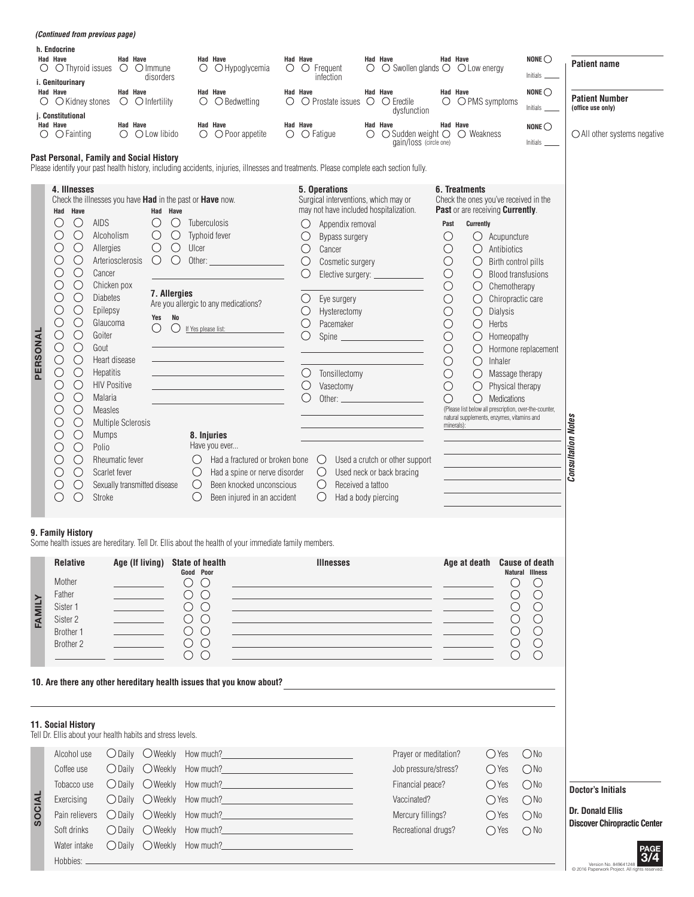|               | <i>(Continued from previous page)</i>                                                                                                                                                                                                                                                                                                                                                                                                                                                                                                                                                                                                                                                                                                                                                                                                          |                                                                                                                                                                                                                 |                                                                                                                                                                                                                                                  |                                                                                                                                                                                                                                                                                                                                                                         |          |                                                                                                           |                                                                                                                                                                                                                                                                                                                                                                                                                     |   |                                                                                                                                                                                                                                              |                                                                                                                                                                                                          |                                                                                                                                                                                                                                                                                                                                                                                                                                   |                                                                                                                                                                                   |                                                                                                               |                                                                                            |
|---------------|------------------------------------------------------------------------------------------------------------------------------------------------------------------------------------------------------------------------------------------------------------------------------------------------------------------------------------------------------------------------------------------------------------------------------------------------------------------------------------------------------------------------------------------------------------------------------------------------------------------------------------------------------------------------------------------------------------------------------------------------------------------------------------------------------------------------------------------------|-----------------------------------------------------------------------------------------------------------------------------------------------------------------------------------------------------------------|--------------------------------------------------------------------------------------------------------------------------------------------------------------------------------------------------------------------------------------------------|-------------------------------------------------------------------------------------------------------------------------------------------------------------------------------------------------------------------------------------------------------------------------------------------------------------------------------------------------------------------------|----------|-----------------------------------------------------------------------------------------------------------|---------------------------------------------------------------------------------------------------------------------------------------------------------------------------------------------------------------------------------------------------------------------------------------------------------------------------------------------------------------------------------------------------------------------|---|----------------------------------------------------------------------------------------------------------------------------------------------------------------------------------------------------------------------------------------------|----------------------------------------------------------------------------------------------------------------------------------------------------------------------------------------------------------|-----------------------------------------------------------------------------------------------------------------------------------------------------------------------------------------------------------------------------------------------------------------------------------------------------------------------------------------------------------------------------------------------------------------------------------|-----------------------------------------------------------------------------------------------------------------------------------------------------------------------------------|---------------------------------------------------------------------------------------------------------------|--------------------------------------------------------------------------------------------|
|               | h. Endocrine<br>Had Have<br>$\circ$ $\circ$ Thyroid issues<br>i. Genitourinary                                                                                                                                                                                                                                                                                                                                                                                                                                                                                                                                                                                                                                                                                                                                                                 | Had Have<br>$\bigcirc$ $\bigcirc$ Immune                                                                                                                                                                        | disorders                                                                                                                                                                                                                                        | <b>Had Have</b><br>$\circ$<br>$\bigcirc$ Hypoglycemia                                                                                                                                                                                                                                                                                                                   | Had Have |                                                                                                           | $\circ$ $\circ$ Frequent<br>infection                                                                                                                                                                                                                                                                                                                                                                               | О | Had Have<br>$\bigcirc$ Swollen glands $\bigcirc$ $\bigcirc$ Low energy                                                                                                                                                                       |                                                                                                                                                                                                          | Had Have                                                                                                                                                                                                                                                                                                                                                                                                                          |                                                                                                                                                                                   | NONE $\bigcirc$<br>Initials                                                                                   | <b>Patient name</b>                                                                        |
| O             | Had Have<br>$\bigcirc$ Kidney stones<br>j. Constitutional                                                                                                                                                                                                                                                                                                                                                                                                                                                                                                                                                                                                                                                                                                                                                                                      | Had Have<br>$\circ$ $\circ$ Infertility                                                                                                                                                                         |                                                                                                                                                                                                                                                  | Had Have<br>O<br>$\bigcirc$ Bedwetting                                                                                                                                                                                                                                                                                                                                  | Had Have |                                                                                                           | $\circ$ $\circ$ Prostate issues $\circ$                                                                                                                                                                                                                                                                                                                                                                             |   | Had Have<br>$\circ$ Erectile<br>dysfunction                                                                                                                                                                                                  |                                                                                                                                                                                                          | Had Have<br>$\bigcirc$ $\bigcirc$ PMS symptoms                                                                                                                                                                                                                                                                                                                                                                                    |                                                                                                                                                                                   | NONE $\bigcirc$<br>Initials                                                                                   | <b>Patient Number</b><br>(office use only)                                                 |
| $\circ$       | Had Have<br>$\bigcirc$ Fainting                                                                                                                                                                                                                                                                                                                                                                                                                                                                                                                                                                                                                                                                                                                                                                                                                | Had Have<br>$\bigcirc$ $\bigcirc$ Low libido                                                                                                                                                                    |                                                                                                                                                                                                                                                  | Had Have<br>$\bigcirc$ $\bigcirc$ Poor appetite                                                                                                                                                                                                                                                                                                                         | Had Have | $\circ$ $\circ$ Fatigue                                                                                   |                                                                                                                                                                                                                                                                                                                                                                                                                     | O | Had Have<br>$\bigcirc$ Sudden weight $\bigcirc$<br>gain/loss (circle one)                                                                                                                                                                    |                                                                                                                                                                                                          | Had Have<br>◯ Weakness                                                                                                                                                                                                                                                                                                                                                                                                            |                                                                                                                                                                                   | NONE $\bigcirc$                                                                                               | $\bigcirc$ All other systems negative                                                      |
|               | Past Personal, Family and Social History                                                                                                                                                                                                                                                                                                                                                                                                                                                                                                                                                                                                                                                                                                                                                                                                       |                                                                                                                                                                                                                 |                                                                                                                                                                                                                                                  | Please identify your past health history, including accidents, injuries, illnesses and treatments. Please complete each section fully.                                                                                                                                                                                                                                  |          |                                                                                                           |                                                                                                                                                                                                                                                                                                                                                                                                                     |   |                                                                                                                                                                                                                                              |                                                                                                                                                                                                          |                                                                                                                                                                                                                                                                                                                                                                                                                                   |                                                                                                                                                                                   |                                                                                                               |                                                                                            |
| PERSONAL      | 4. Illnesses<br>Check the illnesses you have Had in the past or Have now.<br>Had Have<br>$\bigcirc$<br>AIDS<br>U<br>$\bigcirc$<br>( )<br>Alcoholism<br>$\bigcirc$<br>C<br>Allergies<br>$\bigcirc$<br>O<br>$\bigcirc$<br>O<br>Cancer<br>$\bigcirc$<br>O<br>Chicken pox<br>$\bigcirc$<br>O<br><b>Diabetes</b><br>$\bigcirc$<br>O<br>Epilepsy<br>O<br>$\bigcirc$<br>Glaucoma<br>$\bigcirc$<br>$\bigcirc$<br>Goiter<br>$\bigcirc$<br>$\bigcirc$<br>Gout<br>$\bigcirc$<br>$\bigcirc$<br>Heart disease<br>$\bigcirc$<br>О<br>Hepatitis<br>$\bigcirc$<br>О<br><b>HIV Positive</b><br>$\bigcirc$<br>$\bigcirc$<br>Malaria<br>$\bigcirc$<br>O<br><b>Measles</b><br>$\bigcirc$<br>O<br>$\bigcirc$<br><b>Mumps</b><br>$\bigcirc$<br>Polio<br>O<br>$\bigcirc$<br>O<br>$\bigcirc$<br>Scarlet fever<br>$\bigcirc$<br>O<br>$\bigcirc$<br>$\bigcirc$<br>Stroke | Arteriosclerosis<br><b>Multiple Sclerosis</b><br>Rheumatic fever<br>Sexually transmitted disease                                                                                                                | Had Have<br>$\bigcirc$<br>O<br>$\bigcirc$<br>$\bigcirc$<br>$\bigcirc$<br>$\bigcirc$<br>Ulcer<br>$\bigcirc$<br>O<br>Other:<br>7. Allergies<br>No<br>Yes<br>O<br>$\left(\begin{array}{c} \end{array}\right)$<br>$\bigcirc$<br>$\cup$<br>$\bigcirc$ | Tuberculosis<br>Typhoid fever<br>Are you allergic to any medications?<br>If Yes please list:<br>8. Injuries<br>Have you ever<br>Had a fractured or broken bone<br>Had a spine or nerve disorder<br>Been knocked unconscious<br>Been injured in an accident                                                                                                              |          | O<br>O<br>$\bigcirc$<br>$\bigcirc$<br>O<br>O<br>$\bigcirc$<br>$\bigcirc$<br>O<br>$\bigcirc$<br>$\bigcirc$ | 5. Operations<br>Surgical interventions, which may or<br>may not have included hospitalization.<br>Appendix removal<br>Bypass surgery<br>Cancer<br>Cosmetic surgery<br>Elective surgery: _________<br>Eye surgery<br>Hysterectomy<br>Pacemaker<br>Spine<br>Tonsillectomy<br>Vasectomy<br>Other: $\qquad \qquad$<br>$\bigcirc$<br>$\bigcirc$<br>$\bigcirc$<br>Received a tattoo<br>$\bigcirc$<br>Had a body piercing |   | <u> 1980 - Johann Barbara, martxa alemaniar a</u><br>Used a crutch or other support<br>Used neck or back bracing                                                                                                                             | Past<br>$\bigcirc$<br>$\bigcirc$<br>$\bigcirc$<br>$\bigcirc$<br>$\bigcirc$<br>$\bigcirc$<br>$\bigcirc$<br>$\bigcirc$<br>$\bigcirc$<br>$\bigcirc$<br>$\bigcirc$<br>$\bigcirc$<br>$\bigcirc$<br>$\bigcirc$ | 6. Treatments<br>Check the ones you've received in the<br>Past or are receiving Currently.<br>Currently<br>Ő<br>$\bigcirc$<br>$\bigcirc$<br>$\bigcirc$<br>$\bigcirc$<br>$\bigcirc$<br>$\bigcirc$<br>$\bigcirc$<br>Herbs<br>$\bigcirc$<br>$\bigcirc$<br>$\bigcirc$<br>$\bigcirc$<br>$\bigcirc$<br>$\bigcirc$<br>(Please list below all prescription, over-the-counter,<br>natural supplements, enzymes, vitamins and<br>minerals): | Acupuncture<br>Antibiotics<br>Birth control pills<br>Chemotherapy<br>Chiropractic care<br>Dialysis<br>Homeopathy<br>Inhaler<br>Massage therapy<br>Physical therapy<br>Medications | <b>Blood transfusions</b><br>Hormone replacement                                                              | <b>Consultation Notes</b>                                                                  |
|               | 9. Family History<br><b>Relative</b>                                                                                                                                                                                                                                                                                                                                                                                                                                                                                                                                                                                                                                                                                                                                                                                                           |                                                                                                                                                                                                                 | Age (If living) State of health                                                                                                                                                                                                                  | Some health issues are hereditary. Tell Dr. Ellis about the health of your immediate family members.                                                                                                                                                                                                                                                                    |          |                                                                                                           | <b>Illnesses</b>                                                                                                                                                                                                                                                                                                                                                                                                    |   |                                                                                                                                                                                                                                              |                                                                                                                                                                                                          | Age at death                                                                                                                                                                                                                                                                                                                                                                                                                      |                                                                                                                                                                                   | <b>Cause of death</b>                                                                                         |                                                                                            |
| FAMILY        | Mother<br>Father<br>Sister 1<br>Sister 2<br>Brother 1<br>Brother 2                                                                                                                                                                                                                                                                                                                                                                                                                                                                                                                                                                                                                                                                                                                                                                             | $\label{eq:2} \mathcal{L} = \left\{ \begin{array}{ll} \mathcal{L}_{\text{max}} & \mathcal{L}_{\text{max}} \\ \mathcal{L}_{\text{max}} & \mathcal{L}_{\text{max}} \end{array} \right.$<br><u> Tanton de la p</u> | Good Poor<br>$\cup$<br>$\circ$<br>$\circlearrowright$<br>$\circ$ $\circ$<br>$\circ$<br>$\circ$<br>$\circlearrowright$                                                                                                                            | $\bigcirc$<br>$\circ$<br>$\bigcirc$<br>$\bigcirc$<br>$\circlearrowright$                                                                                                                                                                                                                                                                                                |          |                                                                                                           |                                                                                                                                                                                                                                                                                                                                                                                                                     |   | <u> 1989 - Andrea Stadt Britain, amerikansk politiker (</u><br><u> 1989 - Johann Barn, fransk politik (f. 1989)</u><br><u> 1989 - Jan Salaman, mangang mga kalendar ng mga kalendar ng mga kalendar ng mga kalendar ng mga kalendar ng m</u> |                                                                                                                                                                                                          |                                                                                                                                                                                                                                                                                                                                                                                                                                   | $\bigcirc$<br>$\bigcirc$<br>O<br>$\bigcirc$<br>$\bigcirc$<br>O                                                                                                                    | Natural Illness<br>$\cup$<br>$\bigcirc$<br>$\bigcirc$<br>$\bigcirc$<br>$\bigcirc$<br>$\bigcirc$<br>$\bigcirc$ |                                                                                            |
|               | 11. Social History                                                                                                                                                                                                                                                                                                                                                                                                                                                                                                                                                                                                                                                                                                                                                                                                                             |                                                                                                                                                                                                                 |                                                                                                                                                                                                                                                  | 10. Are there any other hereditary health issues that you know about?                                                                                                                                                                                                                                                                                                   |          |                                                                                                           |                                                                                                                                                                                                                                                                                                                                                                                                                     |   |                                                                                                                                                                                                                                              |                                                                                                                                                                                                          |                                                                                                                                                                                                                                                                                                                                                                                                                                   |                                                                                                                                                                                   |                                                                                                               |                                                                                            |
|               | Tell Dr. Ellis about your health habits and stress levels.<br>Alcohol use                                                                                                                                                                                                                                                                                                                                                                                                                                                                                                                                                                                                                                                                                                                                                                      |                                                                                                                                                                                                                 | $\bigcirc$ Daily $\bigcirc$ Weekly How much?                                                                                                                                                                                                     |                                                                                                                                                                                                                                                                                                                                                                         |          |                                                                                                           |                                                                                                                                                                                                                                                                                                                                                                                                                     |   | Prayer or meditation?                                                                                                                                                                                                                        |                                                                                                                                                                                                          | $\bigcirc$ Yes                                                                                                                                                                                                                                                                                                                                                                                                                    |                                                                                                                                                                                   | ONO                                                                                                           |                                                                                            |
| <b>SOCIAL</b> | Coffee use<br>Tobacco use<br>Exercising<br>Pain relievers<br>Soft drinks<br>Water intake                                                                                                                                                                                                                                                                                                                                                                                                                                                                                                                                                                                                                                                                                                                                                       | $\bigcirc$ Daily<br>$\bigcirc$ Daily $\bigcirc$ Weekly<br>$\bigcirc$ Daily                                                                                                                                      | $\bigcirc$ Daily $\bigcirc$ Weekly How much?<br>○ Daily ○ Weekly How much?<br>$\bigcirc$ Weekly<br>$\bigcirc$ Weekly<br>◯ Daily ◯ Weekly How much?                                                                                               | <u> 1989 - Johann Barbara, martxa alemaniar a</u><br>the control of the control of the control of<br>How much?<br><u> 1989 - Johann Barnett, fransk politiker (</u><br><u> 1989 - Johann Barbara, martin basalar shekara ta 1989 - A</u><br>How much?<br>How much?<br><u> 1989 - Johann Stoff, fransk politik (d. 1989)</u><br><u> 1989 - Johann Barbara, martxa al</u> |          |                                                                                                           |                                                                                                                                                                                                                                                                                                                                                                                                                     |   | Job pressure/stress?<br>Financial peace?<br>Vaccinated?<br>Mercury fillings?<br>Recreational drugs?                                                                                                                                          |                                                                                                                                                                                                          | $\bigcirc$ Yes<br>$\bigcirc$ Yes<br>$\bigcirc$ Yes<br>$\bigcirc$ Yes<br>$\bigcirc$ Yes                                                                                                                                                                                                                                                                                                                                            |                                                                                                                                                                                   | ONo<br>ONo<br>ONO<br>ONO<br>$\bigcirc$ No                                                                     | <b>Doctor's Initials</b><br><b>Dr. Donald Ellis</b><br><b>Discover Chiropractic Center</b> |
|               | Hobbies: _                                                                                                                                                                                                                                                                                                                                                                                                                                                                                                                                                                                                                                                                                                                                                                                                                                     |                                                                                                                                                                                                                 |                                                                                                                                                                                                                                                  |                                                                                                                                                                                                                                                                                                                                                                         |          |                                                                                                           |                                                                                                                                                                                                                                                                                                                                                                                                                     |   |                                                                                                                                                                                                                                              |                                                                                                                                                                                                          |                                                                                                                                                                                                                                                                                                                                                                                                                                   |                                                                                                                                                                                   |                                                                                                               | PAGE<br>3/4<br>Version No. 849641248<br>C 2016 Panerwork Project All rights reser          |